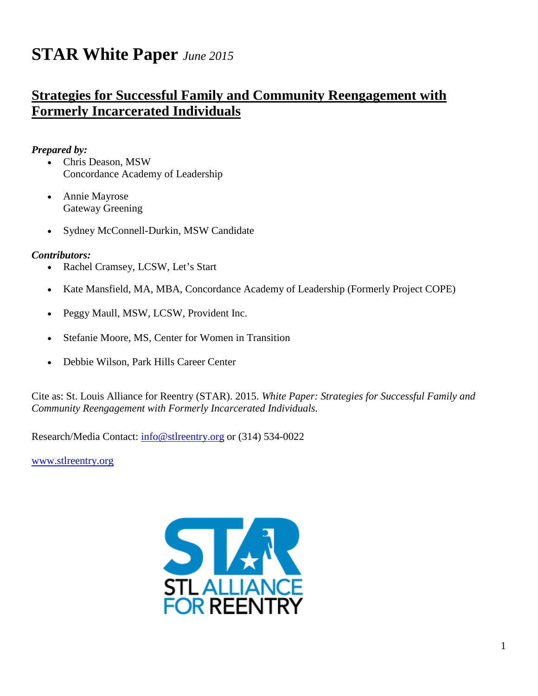# **STAR White Paper** *June 2015*

# **Strategies for Successful Family and Community Reengagement with Formerly Incarcerated Individuals**

# *Prepared by:*

- Chris Deason, MSW Concordance Academy of Leadership
- Annie Mayrose Gateway Greening
- Sydney McConnell-Durkin, MSW Candidate

# *Contributors:*

- Rachel Cramsey, LCSW, Let's Start
- Kate Mansfield, MA, MBA, Concordance Academy of Leadership (Formerly Project COPE)
- Peggy Maull, MSW, LCSW, Provident Inc.
- Stefanie Moore, MS, Center for Women in Transition
- Debbie Wilson, Park Hills Career Center

Cite as: St. Louis Alliance for Reentry (STAR). 2015. *White Paper: Strategies for Successful Family and Community Reengagement with Formerly Incarcerated Individuals.*

Research/Media Contact: [info@stlreentry.org](mailto:info@stlreentry.org) or (314) 534-0022

<span id="page-0-0"></span>[www.stlreentry.org](http://www.stlreentry.org/)

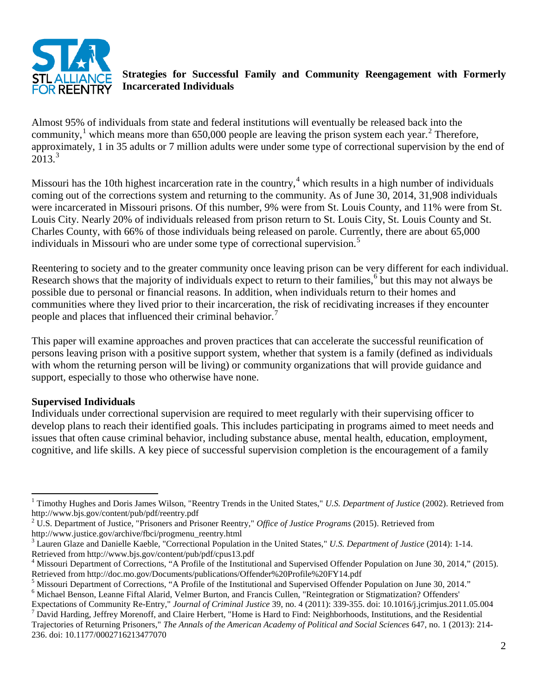

# **Strategies for Successful Family and Community Reengagement with Formerly Incarcerated Individuals**

Almost 95% of individuals from state and federal institutions will eventually be released back into the community,<sup>[1](#page-0-0)</sup> which means more than 650,000 people are leaving the prison system each year.<sup>[2](#page-1-0)</sup> Therefore, approximately, 1 in 35 adults or 7 million adults were under some type of correctional supervision by the end of  $2013<sup>3</sup>$  $2013<sup>3</sup>$  $2013<sup>3</sup>$ 

Missouri has the 10th highest incarceration rate in the country,  $4$  which results in a high number of individuals coming out of the corrections system and returning to the community. As of June 30, 2014, 31,908 individuals were incarcerated in Missouri prisons. Of this number, 9% were from St. Louis County, and 11% were from St. Louis City. Nearly 20% of individuals released from prison return to St. Louis City, St. Louis County and St. Charles County, with 66% of those individuals being released on parole. Currently, there are about 65,000 individuals in Missouri who are under some type of correctional supervision.<sup>[5](#page-1-3)</sup>

Reentering to society and to the greater community once leaving prison can be very different for each individual. Research shows that the majority of individuals expect to return to their families,<sup>[6](#page-1-4)</sup> but this may not always be possible due to personal or financial reasons. In addition, when individuals return to their homes and communities where they lived prior to their incarceration, the risk of recidivating increases if they encounter people and places that influenced their criminal behavior.<sup>[7](#page-1-5)</sup>

This paper will examine approaches and proven practices that can accelerate the successful reunification of persons leaving prison with a positive support system, whether that system is a family (defined as individuals with whom the returning person will be living) or community organizations that will provide guidance and support, especially to those who otherwise have none.

#### **Supervised Individuals**

Individuals under correctional supervision are required to meet regularly with their supervising officer to develop plans to reach their identified goals. This includes participating in programs aimed to meet needs and issues that often cause criminal behavior, including substance abuse, mental health, education, employment, cognitive, and life skills. A key piece of successful supervision completion is the encouragement of a family

<sup>&</sup>lt;sup>1</sup> Timothy Hughes and Doris James Wilson, "Reentry Trends in the United States," *U.S. Department of Justice* (2002). Retrieved from http://www.bjs.gov/content/pub/pdf/reentry.pdf

<span id="page-1-6"></span><span id="page-1-0"></span><sup>2</sup> U.S. Department of Justice, "Prisoners and Prisoner Reentry," *Office of Justice Programs* (2015). Retrieved from http://www.justice.gov/archive/fbci/progmenu\_reentry.html

<span id="page-1-1"></span><sup>3</sup> Lauren Glaze and Danielle Kaeble, "Correctional Population in the United States," *U.S. Department of Justice* (2014): 1-14. Retrieved from http://www.bjs.gov/content/pub/pdf/cpus13.pdf<br><sup>4</sup> Missouri Department of Corrections, "A Profile of the Institutional and Supervised Offender Population on June 30, 2014," (2015).

<span id="page-1-2"></span>Retrieved from http://doc.mo.gov/Documents/publications/Offender%20Profile%20FY14.pdf<br>
<sup>5</sup> Missouri Department of Corrections, "A Profile of the Institutional and Supervised Offender Population on June 30, 2014."

<span id="page-1-3"></span>

<span id="page-1-4"></span> $^6$  Michael Benson, Leanne Fiftal Alarid, Velmer Burton, and Francis Cullen, "Reintegration or Stigmatization? Offenders'<br>Expectations of Community Re-Entry," *Journal of Criminal Justice* 39, no. 4 (2011): 339-355. doi:  $\frac{7}{7}$  David Harding, Jeffrey Morenoff, and Claire Herbert, "Home is Hard to Find: Neighborhoods, Institutions, and the Residential

<span id="page-1-5"></span>Trajectories of Returning Prisoners," *The Annals of the American Academy of Political and Social Sciences* 647, no. 1 (2013): 214- 236. doi: 10.1177/0002716213477070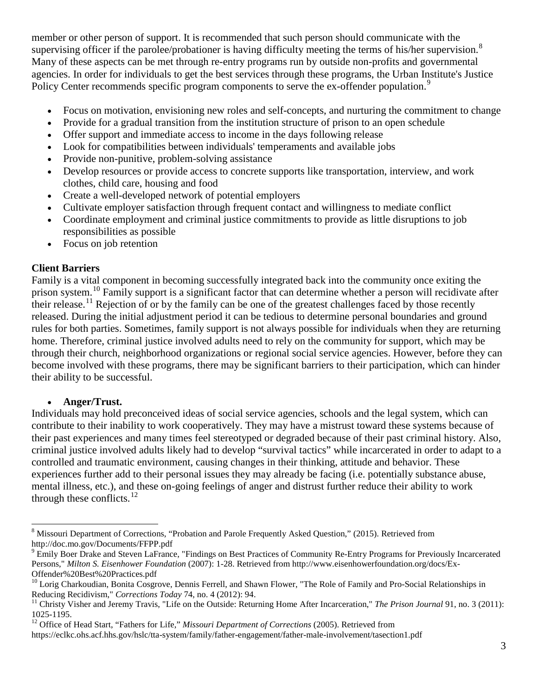member or other person of support. It is recommended that such person should communicate with the supervising officer if the parolee/probationer is having difficulty meeting the terms of his/her supervision.<sup>[8](#page-1-6)</sup> Many of these aspects can be met through re-entry programs run by outside non-profits and governmental agencies. In order for individuals to get the best services through these programs, the Urban Institute's Justice Policy Center recommends specific program components to serve the ex-offender population.<sup>[9](#page-2-0)</sup>

- Focus on motivation, envisioning new roles and self-concepts, and nurturing the commitment to change
- Provide for a gradual transition from the institution structure of prison to an open schedule
- Offer support and immediate access to income in the days following release
- Look for compatibilities between individuals' temperaments and available jobs
- Provide non-punitive, problem-solving assistance
- Develop resources or provide access to concrete supports like transportation, interview, and work clothes, child care, housing and food
- Create a well-developed network of potential employers
- Cultivate employer satisfaction through frequent contact and willingness to mediate conflict
- Coordinate employment and criminal justice commitments to provide as little disruptions to job responsibilities as possible
- Focus on job retention

# **Client Barriers**

Family is a vital component in becoming successfully integrated back into the community once exiting the prison system.<sup>[10](#page-2-1)</sup> Family support is a significant factor that can determine whether a person will recidivate after their release.<sup>[11](#page-2-2)</sup> Rejection of or by the family can be one of the greatest challenges faced by those recently released. During the initial adjustment period it can be tedious to determine personal boundaries and ground rules for both parties. Sometimes, family support is not always possible for individuals when they are returning home. Therefore, criminal justice involved adults need to rely on the community for support, which may be through their church, neighborhood organizations or regional social service agencies. However, before they can become involved with these programs, there may be significant barriers to their participation, which can hinder their ability to be successful.

#### • **Anger/Trust.**

Individuals may hold preconceived ideas of social service agencies, schools and the legal system, which can contribute to their inability to work cooperatively. They may have a mistrust toward these systems because of their past experiences and many times feel stereotyped or degraded because of their past criminal history. Also, criminal justice involved adults likely had to develop "survival tactics" while incarcerated in order to adapt to a controlled and traumatic environment, causing changes in their thinking, attitude and behavior. These experiences further add to their personal issues they may already be facing (i.e. potentially substance abuse, mental illness, etc.), and these on-going feelings of anger and distrust further reduce their ability to work through these conflicts. $12$ 

<span id="page-2-4"></span><sup>8</sup> Missouri Department of Corrections, "Probation and Parole Frequently Asked Question," (2015). Retrieved from http://doc.mo.gov/Documents/FFPP.pdf

<span id="page-2-0"></span><sup>9</sup> Emily Boer Drake and Steven LaFrance, "Findings on Best Practices of Community Re-Entry Programs for Previously Incarcerated Persons," *Milton S. Eisenhower Foundation* (2007): 1-28. Retrieved from http://www.eisenhowerfoundation.org/docs/Ex-Offender%20Best%20Practices.pdf

<span id="page-2-1"></span><sup>&</sup>lt;sup>10</sup> Lorig Charkoudian, Bonita Cosgrove, Dennis Ferrell, and Shawn Flower, "The Role of Family and Pro-Social Relationships in Reducing Recidivism," *Corrections Today* 74, no. 4 (2012): 94.<br><sup>11</sup> Christy Visher and Jeremy Travis, "Life on the Outside: Returning Home After Incarceration," *The Prison Journal* 91, no. 3 (2011):

<span id="page-2-2"></span><sup>1025-1195.</sup> <sup>12</sup> Office of Head Start, "Fathers for Life," *Missouri Department of Corrections* (2005). Retrieved from

<span id="page-2-3"></span>https://eclkc.ohs.acf.hhs.gov/hslc/tta-system/family/father-engagement/father-male-involvement/tasection1.pdf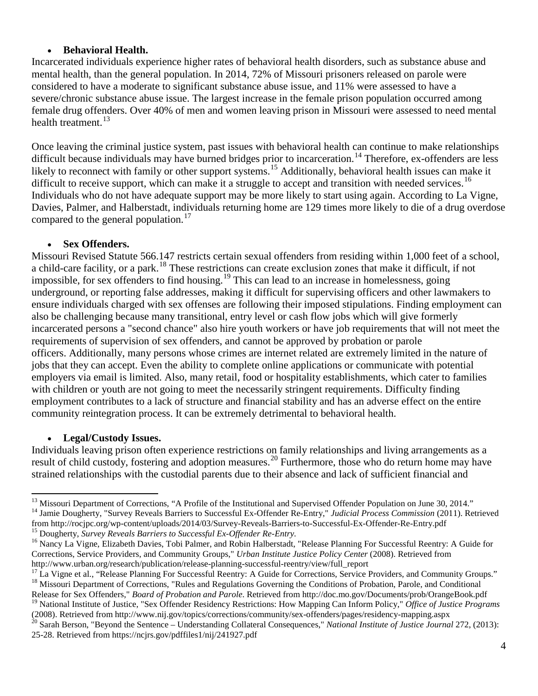#### • **Behavioral Health.**

Incarcerated individuals experience higher rates of behavioral health disorders, such as substance abuse and mental health, than the general population. In 2014, 72% of Missouri prisoners released on parole were considered to have a moderate to significant substance abuse issue, and 11% were assessed to have a severe/chronic substance abuse issue. The largest increase in the female prison population occurred among female drug offenders. Over 40% of men and women leaving prison in Missouri were assessed to need mental health treatment.<sup>[13](#page-2-4)</sup>

Once leaving the criminal justice system, past issues with behavioral health can continue to make relationships difficult because individuals may have burned bridges prior to incarceration.<sup>[14](#page-3-0)</sup> Therefore, ex-offenders are less likely to reconnect with family or other support systems.<sup>[15](#page-3-1)</sup> Additionally, behavioral health issues can make it difficult to receive support, which can make it a struggle to accept and transition with needed services.<sup>[16](#page-3-2)</sup> Individuals who do not have adequate support may be more likely to start using again. According to La Vigne, Davies, Palmer, and Halberstadt, individuals returning home are 129 times more likely to die of a drug overdose compared to the general population.<sup>[17](#page-3-3)</sup>

#### • **Sex Offenders.**

Missouri Revised Statute 566.147 restricts certain sexual offenders from residing within 1,000 feet of a school, a child-care facility, or a park.<sup>[18](#page-3-4)</sup> These restrictions can create exclusion zones that make it difficult, if not impossible, for sex offenders to find housing.[19](#page-3-5) This can lead to an increase in homelessness, going underground, or reporting false addresses, making it difficult for supervising officers and other lawmakers to ensure individuals charged with sex offenses are following their imposed stipulations. Finding employment can also be challenging because many transitional, entry level or cash flow jobs which will give formerly incarcerated persons a "second chance" also hire youth workers or have job requirements that will not meet the requirements of supervision of sex offenders, and cannot be approved by probation or parole officers. Additionally, many persons whose crimes are internet related are extremely limited in the nature of jobs that they can accept. Even the ability to complete online applications or communicate with potential employers via email is limited. Also, many retail, food or hospitality establishments, which cater to families with children or youth are not going to meet the necessarily stringent requirements. Difficulty finding employment contributes to a lack of structure and financial stability and has an adverse effect on the entire community reintegration process. It can be extremely detrimental to behavioral health.

#### • **Legal/Custody Issues.**

<span id="page-3-7"></span>Individuals leaving prison often experience restrictions on family relationships and living arrangements as a result of child custody, fostering and adoption measures.<sup>[20](#page-3-6)</sup> Furthermore, those who do return home may have strained relationships with the custodial parents due to their absence and lack of sufficient financial and

<sup>&</sup>lt;sup>13</sup> Missouri Department of Corrections, "A Profile of the Institutional and Supervised Offender Population on June 30, 2014."<br><sup>14</sup> Jamie Dougherty, "Survey Reveals Barriers to Successful Ex-Offender Re-Entry," Judicial P

<span id="page-3-0"></span>from http://rocjpc.org/wp-content/uploads/2014/03/Survey-Reveals-Barriers-to-Successful-Ex-Offender-Re-Entry.pdf<br><sup>15</sup> Dougherty, *Survey Reveals Barriers to Successful Ex-Offender Re-Entry*.<br><sup>16</sup> Nancy La Vigne, Elizabeth

<span id="page-3-2"></span><span id="page-3-1"></span>Corrections, Service Providers, and Community Groups," *Urban Institute Justice Policy Center* (2008). Retrieved from

<span id="page-3-3"></span>http://www.urban.org/research/publication/release-planning-successful-reentry/view/full\_report<br><sup>17</sup> La Vigne et al., "Release Planning For Successful Reentry: A Guide for Corrections, Service Providers, and Community Group

<span id="page-3-4"></span>Release for Sex Offenders," *Board of Probation and Parole*. Retrieved from http://doc.mo.gov/Documents/prob/OrangeBook.pdf <sup>19</sup> National Institute of Justice, "Sex Offender Residency Restrictions: How Mapping Can Inform Policy," *Office of Justice Programs* 

<span id="page-3-6"></span><span id="page-3-5"></span><sup>(2008).</sup> Retrieved from http://www.nij.gov/topics/corrections/community/sex-offenders/pages/residency-mapping.aspx<br><sup>20</sup> Sarah Berson, "Beyond the Sentence – Understanding Collateral Consequences," *National Institute of Jus* 

<sup>25-28.</sup> Retrieved from https://ncjrs.gov/pdffiles1/nij/241927.pdf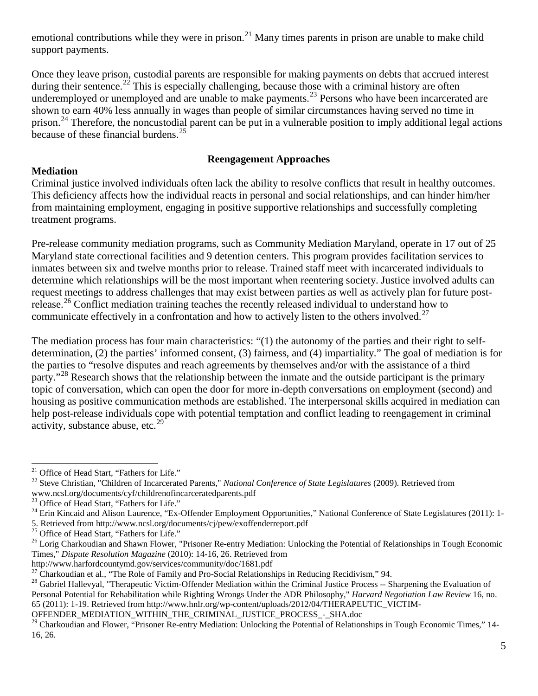emotional contributions while they were in prison.<sup>[21](#page-3-7)</sup> Many times parents in prison are unable to make child support payments.

Once they leave prison, custodial parents are responsible for making payments on debts that accrued interest during their sentence.<sup>[22](#page-4-0)</sup> This is especially challenging, because those with a criminal history are often underemployed or unemployed and are unable to make payments.<sup>[23](#page-4-1)</sup> Persons who have been incarcerated are shown to earn 40% less annually in wages than people of similar circumstances having served no time in prison.<sup>[24](#page-4-2)</sup> Therefore, the noncustodial parent can be put in a vulnerable position to imply additional legal actions because of these financial burdens. $^{25}$  $^{25}$  $^{25}$ 

#### **Reengagement Approaches**

#### **Mediation**

Criminal justice involved individuals often lack the ability to resolve conflicts that result in healthy outcomes. This deficiency affects how the individual reacts in personal and social relationships, and can hinder him/her from maintaining employment, engaging in positive supportive relationships and successfully completing treatment programs.

Pre-release community mediation programs, such as Community Mediation Maryland, operate in 17 out of 25 Maryland state correctional facilities and 9 detention centers. This program provides facilitation services to inmates between six and twelve months prior to release. Trained staff meet with incarcerated individuals to determine which relationships will be the most important when reentering society. Justice involved adults can request meetings to address challenges that may exist between parties as well as actively plan for future post-release.<sup>[26](#page-4-4)</sup> Conflict mediation training teaches the recently released individual to understand how to communicate effectively in a confrontation and how to actively listen to the others involved.<sup>[27](#page-4-5)</sup>

The mediation process has four main characteristics: "(1) the autonomy of the parties and their right to selfdetermination, (2) the parties' informed consent, (3) fairness, and (4) impartiality." The goal of mediation is for the parties to "resolve disputes and reach agreements by themselves and/or with the assistance of a third party."<sup>[28](#page-4-6)</sup> Research shows that the relationship between the inmate and the outside participant is the primary topic of conversation, which can open the door for more in-depth conversations on employment (second) and housing as positive communication methods are established. The interpersonal skills acquired in mediation can help post-release individuals cope with potential temptation and conflict leading to reengagement in criminal activity, substance abuse, etc. $^{29}$  $^{29}$  $^{29}$ 

OFFENDER\_MEDIATION\_WITHIN\_THE\_CRIMINAL\_JUSTICE\_PROCESS\_-\_SHA.doc

<span id="page-4-0"></span><sup>&</sup>lt;sup>21</sup> Office of Head Start, "Fathers for Life."<br><sup>22</sup> Steve Christian, "Children of Incarcerated Parents," *National Conference of State Legislatures* (2009). Retrieved from www.ncsl.org/documents/cyf/childrenofincarceratedparents.pdf<br>
<sup>23</sup> Office of Head Start, "Fathers for Life."

<span id="page-4-2"></span><span id="page-4-1"></span><sup>&</sup>lt;sup>24</sup> Erin Kincaid and Alison Laurence, "Ex-Offender Employment Opportunities," National Conference of State Legislatures (2011): 1-

<sup>5.</sup> Retrieved from http://www.ncsl.org/documents/cj/pew/exoffenderreport.pdf <sup>25</sup> Office of Head Start, "Fathers for Life."

<span id="page-4-3"></span>

<span id="page-4-4"></span><sup>&</sup>lt;sup>26</sup> Lorig Charkoudian and Shawn Flower, "Prisoner Re-entry Mediation: Unlocking the Potential of Relationships in Tough Economic Times," *Dispute Resolution Magazine* (2010): 14-16, 26. Retrieved from

http://www.harfordcountymd.gov/services/community/doc/1681.pdf<br><sup>27</sup> Charkoudian et al., "The Role of Family and Pro-Social Relationships in Reducing Recidivism," 94.

<span id="page-4-6"></span><span id="page-4-5"></span><sup>&</sup>lt;sup>28</sup> Gabriel Hallevyal, "Therapeutic Victim-Offender Mediation within the Criminal Justice Process -- Sharpening the Evaluation of Personal Potential for Rehabilitation while Righting Wrongs Under the ADR Philosophy," *Harvard Negotiation Law Review* 16, no. 65 (2011): 1-19. Retrieved from http://www.hnlr.org/wp-content/uploads/2012/04/THERAPEUTIC\_VICTIM-

<span id="page-4-7"></span><sup>&</sup>lt;sup>29</sup> Charkoudian and Flower, "Prisoner Re-entry Mediation: Unlocking the Potential of Relationships in Tough Economic Times," 14-16, 26.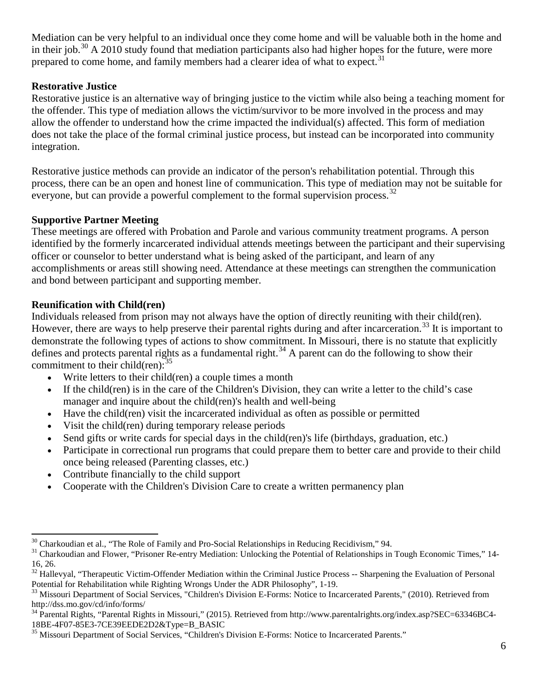Mediation can be very helpful to an individual once they come home and will be valuable both in the home and in their job.<sup>[30](#page-4-4)</sup> A 2010 study found that mediation participants also had higher hopes for the future, were more prepared to come home, and family members had a clearer idea of what to expect.<sup>[31](#page-5-0)</sup>

# **Restorative Justice**

Restorative justice is an alternative way of bringing justice to the victim while also being a teaching moment for the offender. This type of mediation allows the victim/survivor to be more involved in the process and may allow the offender to understand how the crime impacted the individual(s) affected. This form of mediation does not take the place of the formal criminal justice process, but instead can be incorporated into community integration.

Restorative justice methods can provide an indicator of the person's rehabilitation potential. Through this process, there can be an open and honest line of communication. This type of mediation may not be suitable for everyone, but can provide a powerful complement to the formal supervision process.<sup>[32](#page-5-1)</sup>

# **Supportive Partner Meeting**

These meetings are offered with Probation and Parole and various community treatment programs. A person identified by the formerly incarcerated individual attends meetings between the participant and their supervising officer or counselor to better understand what is being asked of the participant, and learn of any accomplishments or areas still showing need. Attendance at these meetings can strengthen the communication and bond between participant and supporting member.

# **Reunification with Child(ren)**

Individuals released from prison may not always have the option of directly reuniting with their child(ren). However, there are ways to help preserve their parental rights during and after incarceration.<sup>[33](#page-5-2)</sup> It is important to demonstrate the following types of actions to show commitment. In Missouri, there is no statute that explicitly defines and protects parental rights as a fundamental right.<sup>[34](#page-5-3)</sup> A parent can do the following to show their commitment to their child(ren):  $35$ 

- Write letters to their child(ren) a couple times a month
- If the child(ren) is in the care of the Children's Division, they can write a letter to the child's case manager and inquire about the child(ren)'s health and well-being
- Have the child(ren) visit the incarcerated individual as often as possible or permitted
- Visit the child(ren) during temporary release periods
- Send gifts or write cards for special days in the child(ren)'s life (birthdays, graduation, etc.)
- Participate in correctional run programs that could prepare them to better care and provide to their child once being released (Parenting classes, etc.)
- Contribute financially to the child support
- Cooperate with the Children's Division Care to create a written permanency plan

<span id="page-5-0"></span>

<span id="page-5-5"></span> $30$  Charkoudian et al., "The Role of Family and Pro-Social Relationships in Reducing Recidivism," 94.<br> $31$  Charkoudian and Flower, "Prisoner Re-entry Mediation: Unlocking the Potential of Relationships in Tough Economic 16, 26.

<span id="page-5-1"></span><sup>&</sup>lt;sup>32</sup> Hallevyal, "Therapeutic Victim-Offender Mediation within the Criminal Justice Process -- Sharpening the Evaluation of Personal

<span id="page-5-2"></span>Potential for Rehabilitation while Righting Wrongs Under the ADR Philosophy", 1-19.<br><sup>33</sup> Missouri Department of Social Services, "Children's Division E-Forms: Notice to Incarcerated Parents," (2010). Retrieved from http://dss.mo.gov/cd/info/forms/

<span id="page-5-3"></span><sup>&</sup>lt;sup>34</sup> Parental Rights, "Parental Rights in Missouri," (2015). Retrieved from http://www.parentalrights.org/index.asp?SEC=63346BC4-<br>18BE-4F07-85E3-7CE39EEDE2D2&Type=B BASIC

<span id="page-5-4"></span><sup>&</sup>lt;sup>35</sup> Missouri Department of Social Services, "Children's Division E-Forms: Notice to Incarcerated Parents."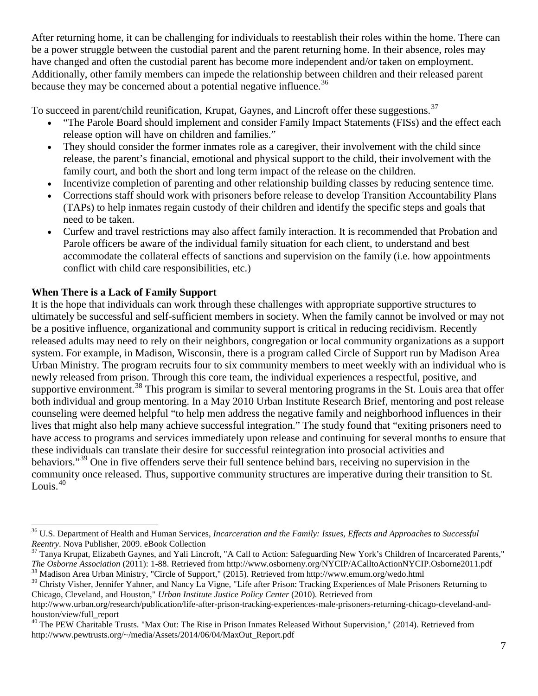After returning home, it can be challenging for individuals to reestablish their roles within the home. There can be a power struggle between the custodial parent and the parent returning home. In their absence, roles may have changed and often the custodial parent has become more independent and/or taken on employment. Additionally, other family members can impede the relationship between children and their released parent because they may be concerned about a potential negative influence.<sup>[36](#page-5-5)</sup>

To succeed in parent/child reunification, Krupat, Gaynes, and Lincroft offer these suggestions.<sup>[37](#page-6-0)</sup>

- "The Parole Board should implement and consider Family Impact Statements (FISs) and the effect each release option will have on children and families."
- They should consider the former inmates role as a caregiver, their involvement with the child since release, the parent's financial, emotional and physical support to the child, their involvement with the family court, and both the short and long term impact of the release on the children.
- Incentivize completion of parenting and other relationship building classes by reducing sentence time.
- Corrections staff should work with prisoners before release to develop Transition Accountability Plans (TAPs) to help inmates regain custody of their children and identify the specific steps and goals that need to be taken.
- Curfew and travel restrictions may also affect family interaction. It is recommended that Probation and Parole officers be aware of the individual family situation for each client, to understand and best accommodate the collateral effects of sanctions and supervision on the family (i.e. how appointments conflict with child care responsibilities, etc.)

# **When There is a Lack of Family Support**

It is the hope that individuals can work through these challenges with appropriate supportive structures to ultimately be successful and self-sufficient members in society. When the family cannot be involved or may not be a positive influence, organizational and community support is critical in reducing recidivism. Recently released adults may need to rely on their neighbors, congregation or local community organizations as a support system. For example, in Madison, Wisconsin, there is a program called Circle of Support run by Madison Area Urban Ministry. The program recruits four to six community members to meet weekly with an individual who is newly released from prison. Through this core team, the individual experiences a respectful, positive, and supportive environment.<sup>[38](#page-6-1)</sup> This program is similar to several mentoring programs in the St. Louis area that offer both individual and group mentoring. In a May 2010 Urban Institute Research Brief, mentoring and post release counseling were deemed helpful "to help men address the negative family and neighborhood influences in their lives that might also help many achieve successful integration." The study found that "exiting prisoners need to have access to programs and services immediately upon release and continuing for several months to ensure that these individuals can translate their desire for successful reintegration into prosocial activities and behaviors."<sup>[39](#page-6-2)</sup> One in five offenders serve their full sentence behind bars, receiving no supervision in the community once released. Thus, supportive community structures are imperative during their transition to St. Louis.<sup>[40](#page-6-3)</sup>

<sup>&</sup>lt;sup>36</sup> U.S. Department of Health and Human Services, *Incarceration and the Family: Issues, Effects and Approaches to Successful Reentry.* Nova Publisher, 2009. eBook Collection

<span id="page-6-0"></span><sup>&</sup>lt;sup>37</sup> Tanya Krupat, Elizabeth Gaynes, and Yali Lincroft, "A Call to Action: Safeguarding New York's Children of Incarcerated Parents," The Osborne Association (2011): 1-88. Retrieved from http://www.osborneny.org/NYCIP/ACalltoActionNYCIP.Osborne2011.pdf 38 Madison Area Urban Ministry, "Circle of Support," (2015). Retrieved from http://www.emum.org/wedo.ht

<span id="page-6-1"></span>

<span id="page-6-2"></span><sup>&</sup>lt;sup>39</sup> Christy Visher, Jennifer Yahner, and Nancy La Vigne, "Life after Prison: Tracking Experiences of Male Prisoners Returning to Chicago, Cleveland, and Houston," *Urban Institute Justice Policy Center* (2010). Retrieved from

<span id="page-6-4"></span>http://www.urban.org/research/publication/life-after-prison-tracking-experiences-male-prisoners-returning-chicago-cleveland-andhouston/view/full\_report

<span id="page-6-3"></span><sup>&</sup>lt;sup>40</sup> The PEW Charitable Trusts. "Max Out: The Rise in Prison Inmates Released Without Supervision," (2014). Retrieved from http://www.pewtrusts.org/~/media/Assets/2014/06/04/MaxOut\_Report.pdf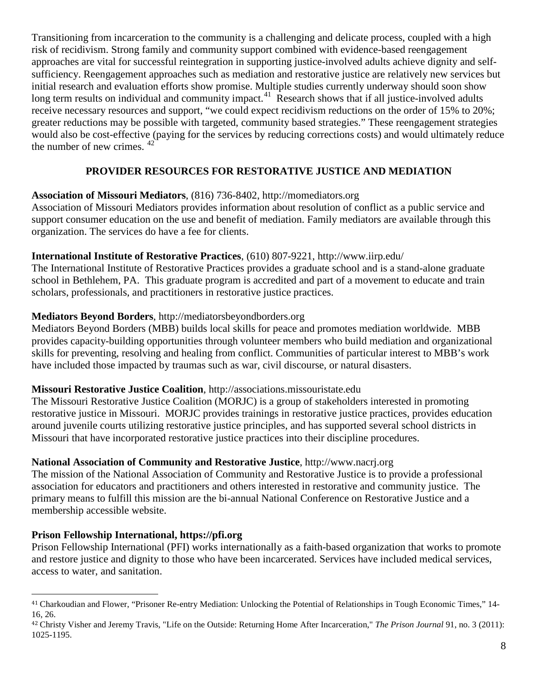Transitioning from incarceration to the community is a challenging and delicate process, coupled with a high risk of recidivism. Strong family and community support combined with evidence-based reengagement approaches are vital for successful reintegration in supporting justice-involved adults achieve dignity and selfsufficiency. Reengagement approaches such as mediation and restorative justice are relatively new services but initial research and evaluation efforts show promise. Multiple studies currently underway should soon show long term results on individual and community impact.<sup>41</sup> Research shows that if all justice-involved adults receive necessary resources and support, "we could expect recidivism reductions on the order of 15% to 20%; greater reductions may be possible with targeted, community based strategies." These reengagement strategies would also be cost-effective (paying for the services by reducing corrections costs) and would ultimately reduce the number of new crimes. [42](#page-7-0)

# **PROVIDER RESOURCES FOR RESTORATIVE JUSTICE AND MEDIATION**

#### **Association of Missouri Mediators**, (816) 736-8402, [http://momediators.org](http://momediators.org/)

Association of Missouri Mediators provides information about resolution of conflict as a public service and support consumer education on the use and benefit of mediation. Family mediators are available through this organization. The services do have a fee for clients.

#### **International Institute of Restorative Practices**, (610) 807-9221,<http://www.iirp.edu/>

The International Institute of Restorative Practices provides a graduate school and is a stand-alone graduate school in Bethlehem, PA. This graduate program is accredited and part of a movement to educate and train scholars, professionals, and practitioners in restorative justice practices.

#### **Mediators Beyond Borders**, [http://mediatorsbeyondborders.org](http://mediatorsbeyondborders.org/)

Mediators Beyond Borders (MBB) builds local skills for peace and promotes mediation worldwide. MBB provides capacity-building opportunities through volunteer members who build mediation and organizational skills for preventing, resolving and healing from conflict. Communities of particular interest to MBB's work have included those impacted by traumas such as war, civil discourse, or natural disasters.

#### **Missouri Restorative Justice Coalition**, [http://associations.missouristate.edu](http://associations.missouristate.edu/)

The Missouri Restorative Justice Coalition (MORJC) is a group of stakeholders interested in promoting restorative justice in Missouri. MORJC provides trainings in restorative justice practices, provides education around juvenile courts utilizing restorative justice principles, and has supported several school districts in Missouri that have incorporated restorative justice practices into their discipline procedures.

#### **National Association of Community and Restorative Justice**, [http://www.nacrj.org](http://www.nacrj.org/)

The mission of the National Association of Community and Restorative Justice is to provide a professional association for educators and practitioners and others interested in restorative and community justice. The primary means to fulfill this mission are the bi-annual National Conference on Restorative Justice and a membership accessible website.

#### **Prison Fellowship International, [https://pfi.org](https://pfi.org/)**

Prison Fellowship International (PFI) works internationally as a faith-based organization that works to promote and restore justice and dignity to those who have been incarcerated. Services have included medical services, access to water, and sanitation.

 <sup>41</sup> Charkoudian and Flower, "Prisoner Re-entry Mediation: Unlocking the Potential of Relationships in Tough Economic Times," 14- 16, 26.

<span id="page-7-0"></span><sup>42</sup> Christy Visher and Jeremy Travis, "Life on the Outside: Returning Home After Incarceration," *The Prison Journal* 91, no. 3 (2011): 1025-1195.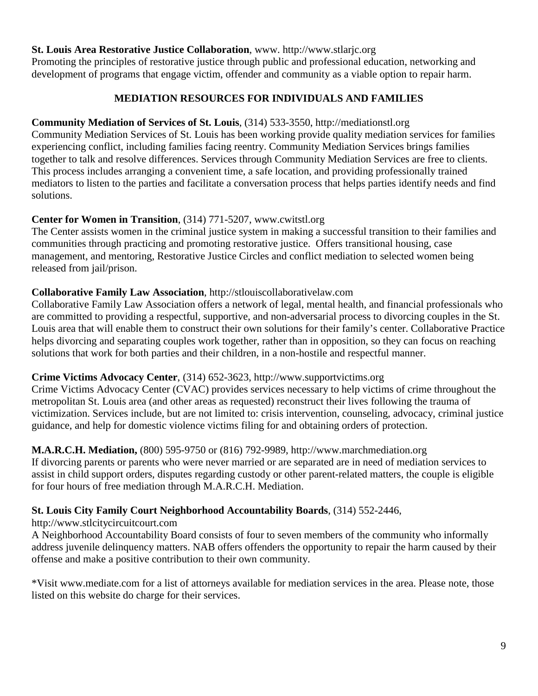#### **St. Louis Area Restorative Justice Collaboration**, www. http://www.stlarjc.org

Promoting the principles of restorative justice through public and professional education, networking and development of programs that engage victim, offender and community as a viable option to repair harm.

#### **MEDIATION RESOURCES FOR INDIVIDUALS AND FAMILIES**

#### **Community Mediation of Services of St. Louis**, (314) 533-3550, http://mediationstl.org

Community Mediation Services of St. Louis has been working provide quality mediation services for families experiencing conflict, including families facing reentry. Community Mediation Services brings families together to talk and resolve differences. Services through Community Mediation Services are free to clients. This process includes arranging a convenient time, a safe location, and providing professionally trained mediators to listen to the parties and facilitate a conversation process that helps parties identify needs and find solutions.

#### **Center for Women in Transition**, (314) 771-5207, www.cwitstl.org

The Center assists women in the criminal justice system in making a successful transition to their families and communities through practicing and promoting restorative justice. Offers transitional housing, case management, and mentoring, Restorative Justice Circles and conflict mediation to selected women being released from jail/prison.

# **Collaborative Family Law Association**, [http://stlouiscollaborativelaw.com](http://stlouiscollaborativelaw.com/)

Collaborative Family Law Association offers a network of legal, mental health, and financial professionals who are committed to providing a respectful, supportive, and non-adversarial process to divorcing couples in the St. Louis area that will enable them to construct their own solutions for their family's center. Collaborative Practice helps divorcing and separating couples work together, rather than in opposition, so they can focus on reaching solutions that work for both parties and their children, in a non-hostile and respectful manner.

#### **Crime Victims Advocacy Center**, (314) 652-3623, [http://www.supportvictims.org](http://www.supportvictims.org/)

Crime Victims Advocacy Center (CVAC) provides services necessary to help victims of crime throughout the metropolitan St. Louis area (and other areas as requested) reconstruct their lives following the trauma of victimization. Services include, but are not limited to: crisis intervention, counseling, advocacy, criminal justice guidance, and help for domestic violence victims filing for and obtaining orders of protection.

**M.A.R.C.H. Mediation,** (800) 595-9750 or (816) 792-9989, [http://www.marchmediation.org](http://www.marchmediation.org/) If divorcing parents or parents who were never married or are separated are in need of mediation services to assist in child support orders, disputes regarding custody or other parent-related matters, the couple is eligible for four hours of free mediation through M.A.R.C.H. Mediation.

# **St. Louis City Family Court Neighborhood Accountability Boards**, (314) 552-2446,

#### [http://www.stlcitycircuitcourt.com](http://www.stlcitycircuitcourt.com/)

A Neighborhood Accountability Board consists of four to seven members of the community who informally address juvenile delinquency matters. NAB offers offenders the opportunity to repair the harm caused by their offense and make a positive contribution to their own community.

\*Visit [www.mediate.com](http://www.mediate.com/) for a list of attorneys available for mediation services in the area. Please note, those listed on this website do charge for their services.